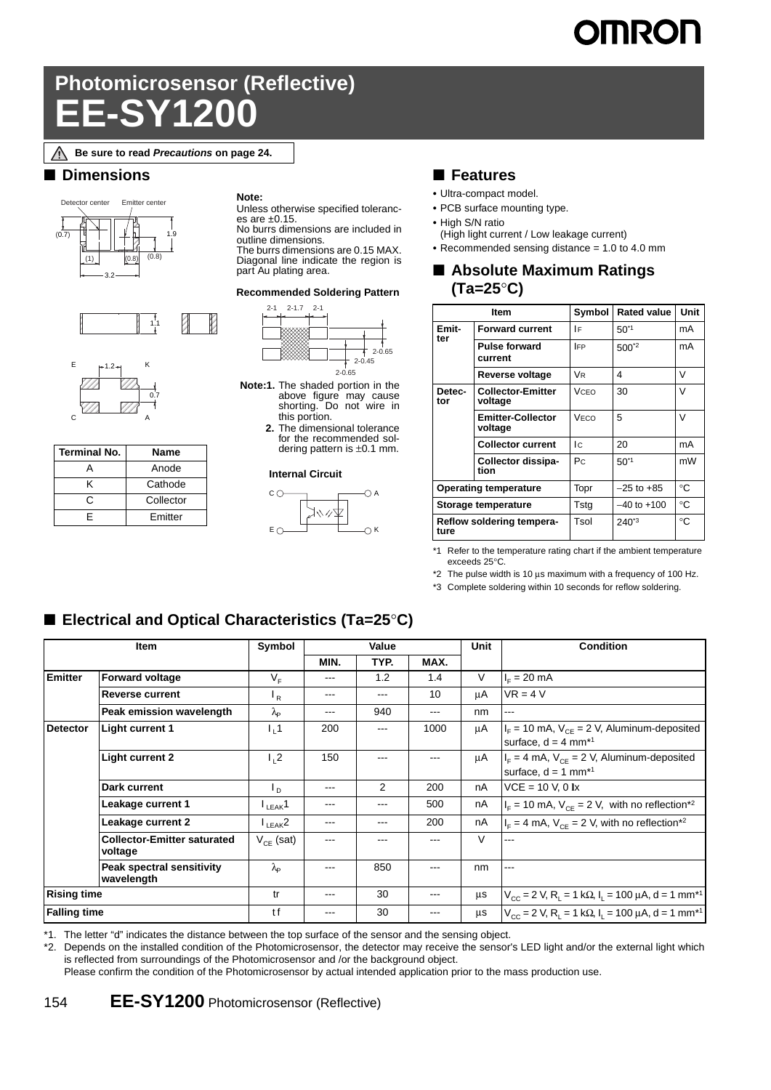# **IMRON**

## **Photomicrosensor (Reflective) EE-SY1200**

#### **Be sure to read** *Precautions* **on page 24.**

#### ■ **Dimensions**







| <b>Terminal No.</b> | Name      |  |  |  |
|---------------------|-----------|--|--|--|
|                     | Anode     |  |  |  |
| ĸ                   | Cathode   |  |  |  |
| r                   | Collector |  |  |  |
|                     | Emitter   |  |  |  |

**Note:**

Unless otherwise specified toleranc-

es are ±0.15. No burrs dimensions are included in outline dimensions.

The burrs dimensions are 0.15 MAX. Diagonal line indicate the region is part Au plating area.

#### **Recommended Soldering Pattern**



- **Note:1.** The shaded portion in the above figure may cause shorting. Do not wire in this portion.
	- **2.** The dimensional tolerance for the recommended soldering pattern is ±0.1 mm.

#### **Internal Circuit**



#### ■ **Features**

- **•** Ultra-compact model.
- **•** PCB surface mounting type.
- **•** High S/N ratio
- (High light current / Low leakage current)
- **•** Recommended sensing distance = 1.0 to 4.0 mm

#### ■ **Absolute Maximum Ratings (Ta=25**°**C)**

|                                   | <b>Item</b>                         | Symbol     | <b>Rated value</b> | <b>Unit</b> |
|-----------------------------------|-------------------------------------|------------|--------------------|-------------|
| Emit-                             | <b>Forward current</b>              | ١F         | $50^{1}$           | mA          |
| ter                               | <b>Pulse forward</b><br>current     | <b>IFP</b> | $500^{2}$          | mA          |
|                                   | Reverse voltage                     | <b>VR</b>  | 4                  | v           |
| Detec-<br>tor                     | <b>Collector-Emitter</b><br>voltage | VCEO       | 30                 | V           |
|                                   | <b>Emitter-Collector</b><br>voltage | VECO       | 5                  | V           |
|                                   | <b>Collector current</b>            | Ic.        | 20                 | mA          |
|                                   | Collector dissipa-<br>tion          | Pc         | $50^{1}$           | mW          |
| <b>Operating temperature</b>      |                                     | Topr       | $-25$ to $+85$     | $^{\circ}C$ |
| Storage temperature               |                                     | Tstg       | $-40$ to $+100$    | $^{\circ}C$ |
| Reflow soldering tempera-<br>ture |                                     | Tsol       | $240^{3}$          | °€          |

\*1 Refer to the temperature rating chart if the ambient temperature exceeds 25°C.

\*2 The pulse width is 10 μs maximum with a frequency of 100 Hz.

\*3 Complete soldering within 10 seconds for reflow soldering.

## ■ **Electrical and Optical Characteristics (Ta=25**°**C)**

| <b>Item</b>         |                                               | Symbol            | Value             |       | Unit              | <b>Condition</b> |                                                                                               |
|---------------------|-----------------------------------------------|-------------------|-------------------|-------|-------------------|------------------|-----------------------------------------------------------------------------------------------|
|                     |                                               |                   | MIN.              | TYP.  | MAX.              |                  |                                                                                               |
| <b>Emitter</b>      | <b>Forward voltage</b>                        | $V_{F}$           | $---$             | 1.2   | 1.4               | V                | $I_F = 20$ mA                                                                                 |
|                     | <b>Reverse current</b>                        | $_{R}$            | $---$             | $---$ | 10                | μA               | $VR = 4 V$                                                                                    |
|                     | Peak emission wavelength                      | $\lambda_{\rm p}$ | $\qquad \qquad -$ | 940   | $\qquad \qquad -$ | nm               | ---                                                                                           |
| <b>Detector</b>     | Light current 1                               | $L_1$ 1           | 200               | ---   | 1000              | μA               | $I_F$ = 10 mA, $V_{CE}$ = 2 V, Aluminum-deposited<br>surface, $d = 4$ mm <sup>*1</sup>        |
|                     | <b>Light current 2</b>                        | $l_1$ 2           | 150               | ---   | ---               | μA               | $I_F = 4$ mA, $V_{CF} = 2$ V, Aluminum-deposited<br>surface, $d = 1$ mm <sup>*1</sup>         |
|                     | Dark current                                  | $L_{\rm D}$       | $\qquad \qquad -$ | 2     | 200               | nA               | $VCE = 10 V, 0 Ix$                                                                            |
|                     | Leakage current 1                             | $I_{LEAK}$ 1      | $---$             | $---$ | 500               | nA               | $I_F$ = 10 mA, $V_{CF}$ = 2 V, with no reflection <sup>*2</sup>                               |
|                     | Leakage current 2                             | $I_{LEAK}$ 2      | $---$             | $---$ | 200               | nA               | $I_F = 4$ mA, $V_{CF} = 2$ V, with no reflection <sup>*2</sup>                                |
|                     | <b>Collector-Emitter saturated</b><br>voltage | $V_{CF}$ (sat)    | $---$             | $---$ | ---               | $\vee$           | ---                                                                                           |
|                     | Peak spectral sensitivity<br>wavelength       | λρ                | $---$             | 850   | ---               | nm               | ---                                                                                           |
|                     | <b>Rising time</b>                            |                   | $---$             | 30    | ---               | μs               | $V_{\text{CC}}$ = 2 V, R <sub>L</sub> = 1 kΩ, I <sub>L</sub> = 100 µA, d = 1 mm <sup>*1</sup> |
| <b>Falling time</b> |                                               | tf                | $---$             | 30    | ---               | μs               | $V_{\text{cc}}$ = 2 V, R <sub>1</sub> = 1 kΩ, I <sub>1</sub> = 100 µA, d = 1 mm <sup>*1</sup> |

\*1. The letter "d" indicates the distance between the top surface of the sensor and the sensing object.

\*2. Depends on the installed condition of the Photomicrosensor, the detector may receive the sensor's LED light and/or the external light which is reflected from surroundings of the Photomicrosensor and /or the background object. Please confirm the condition of the Photomicrosensor by actual intended application prior to the mass production use.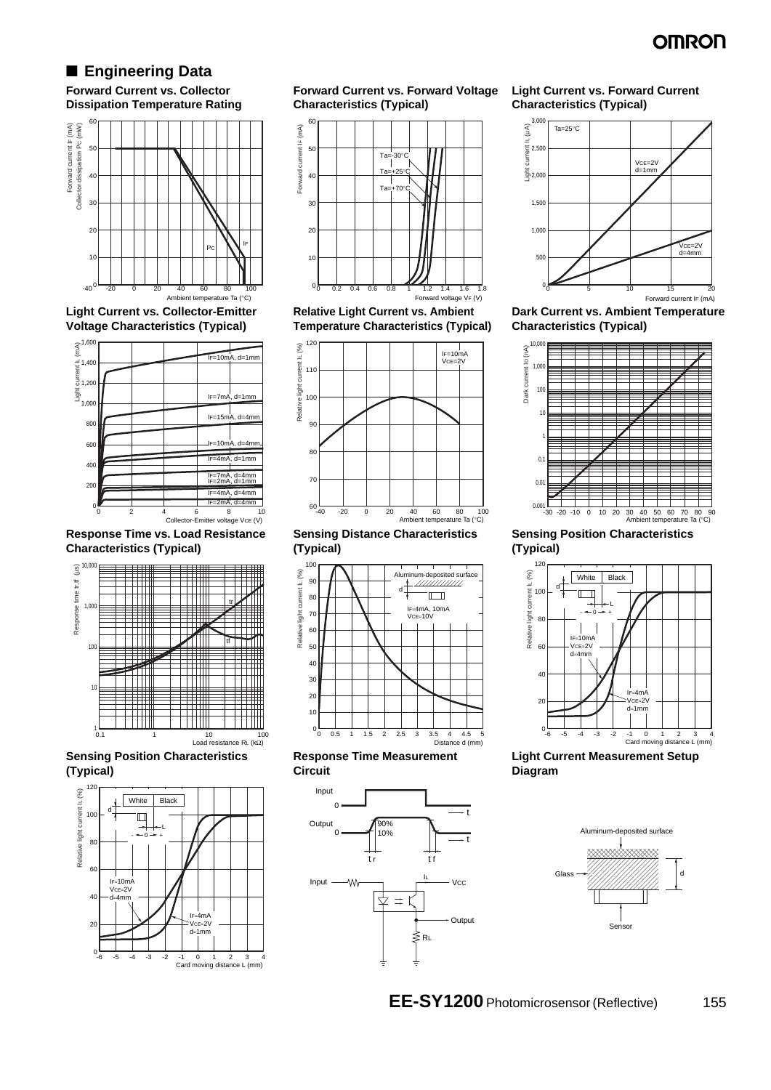## OMRON

## ■ **Engineering Data**

**Forward Current vs. Collector Dissipation Temperature Rating**



**Light Current vs. Collector-Emitter** 



**Response Time vs. Load Resistance Characteristics (Typical)**



**Sensing Position Characteristics (Typical)**



**Forward Current vs. Forward Voltage Characteristics (Typical)**



**Relative Light Current vs. Ambient Temperature Characteristics (Typical)**



**Sensing Distance Characteristics (Typical)**







#### **Light Current vs. Forward Current Characteristics (Typical)**



**Dark Current vs. Ambient Temperature Characteristics (Typical)**



**Sensing Position Characteristics (Typical)**



**Light Current Measurement Setup Diagram**



**EE-SY1200** Photomicrosensor (Reflective) 155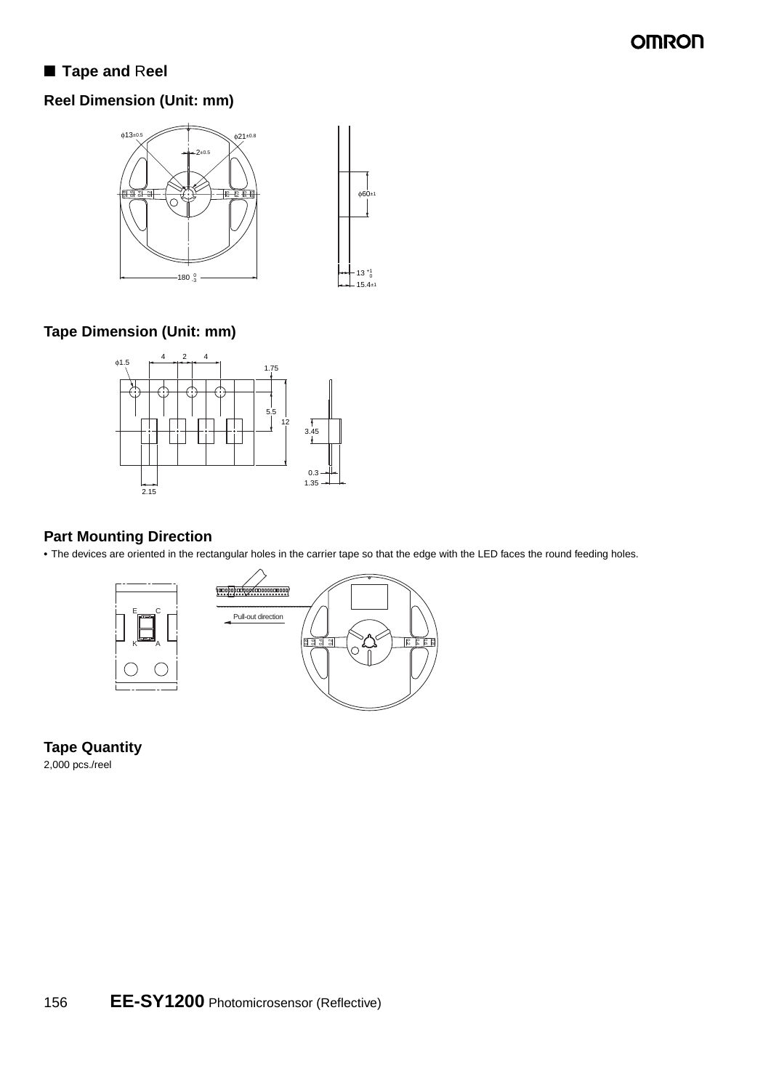## **OMRON**

## ■ **Tape and Reel**

## **Reel Dimension (Unit: mm)**



## **Tape Dimension (Unit: mm)**



### **Part Mounting Direction**

**•** The devices are oriented in the rectangular holes in the carrier tape so that the edge with the LED faces the round feeding holes.



**Tape Quantity** 2,000 pcs./reel